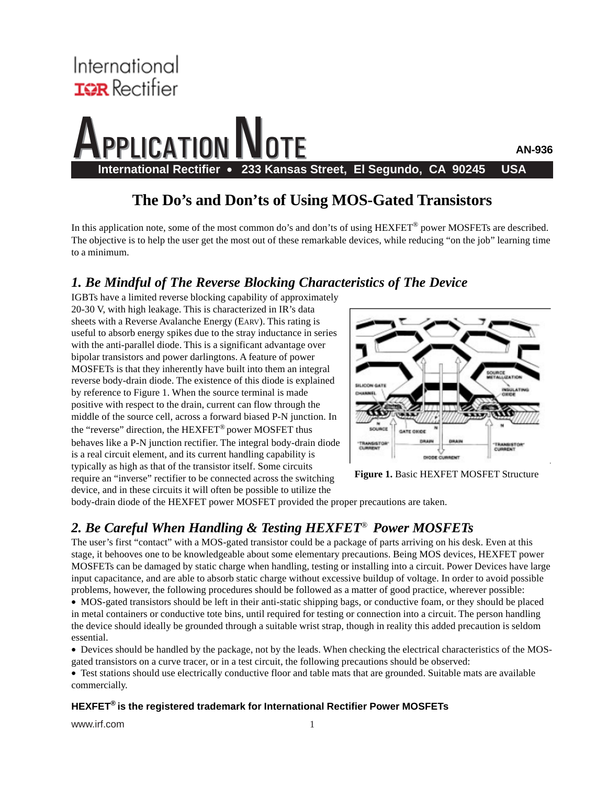# International **IGR** Rectifier

# **APPLICATION NOTE**<br>International Rectifier • 233 Kansas Street, El Segundo, CA 90245 USA APPLICATION NOTE

# **The Do's and Don'ts of Using MOS-Gated Transistors**

In this application note, some of the most common do's and don'ts of using HEXFET® power MOSFETs are described. The objective is to help the user get the most out of these remarkable devices, while reducing "on the job" learning time to a minimum.

# *1. Be Mindful of The Reverse Blocking Characteristics of The Device*

IGBTs have a limited reverse blocking capability of approximately 20-30 V, with high leakage. This is characterized in IR's data sheets with a Reverse Avalanche Energy (EARV). This rating is useful to absorb energy spikes due to the stray inductance in series with the anti-parallel diode. This is a significant advantage over bipolar transistors and power darlingtons. A feature of power MOSFETs is that they inherently have built into them an integral reverse body-drain diode. The existence of this diode is explained by reference to Figure 1. When the source terminal is made positive with respect to the drain, current can flow through the middle of the source cell, across a forward biased P-N junction. In the "reverse" direction, the HEXFET® power MOSFET thus behaves like a P-N junction rectifier. The integral body-drain diode is a real circuit element, and its current handling capability is typically as high as that of the transistor itself. Some circuits require an "inverse" rectifier to be connected across the switching device, and in these circuits it will often be possible to utilize the



**Figure 1.** Basic HEXFET MOSFET Structure

body-drain diode of the HEXFET power MOSFET provided the proper precautions are taken.

# *2. Be Careful When Handling & Testing HEXFET*® *Power MOSFETs*

The user's first "contact" with a MOS-gated transistor could be a package of parts arriving on his desk. Even at this stage, it behooves one to be knowledgeable about some elementary precautions. Being MOS devices, HEXFET power MOSFETs can be damaged by static charge when handling, testing or installing into a circuit. Power Devices have large input capacitance, and are able to absorb static charge without excessive buildup of voltage. In order to avoid possible problems, however, the following procedures should be followed as a matter of good practice, wherever possible:

• MOS-gated transistors should be left in their anti-static shipping bags, or conductive foam, or they should be placed in metal containers or conductive tote bins, until required for testing or connection into a circuit. The person handling the device should ideally be grounded through a suitable wrist strap, though in reality this added precaution is seldom essential.

• Devices should be handled by the package, not by the leads. When checking the electrical characteristics of the MOSgated transistors on a curve tracer, or in a test circuit, the following precautions should be observed:

• Test stations should use electrically conductive floor and table mats that are grounded. Suitable mats are available commercially.

#### **HEXFET® is the registered trademark for International Rectifier Power MOSFETs**

www.irf.com 1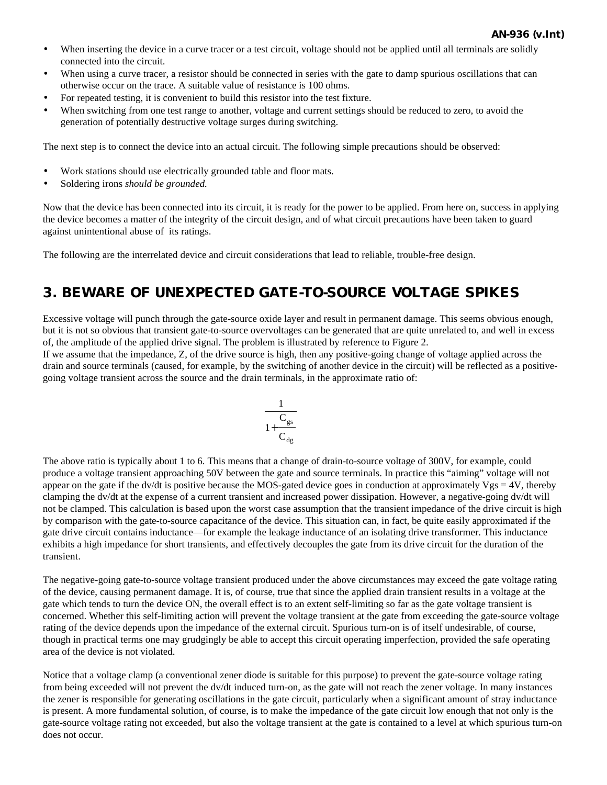- When inserting the device in a curve tracer or a test circuit, voltage should not be applied until all terminals are solidly connected into the circuit.
- When using a curve tracer, a resistor should be connected in series with the gate to damp spurious oscillations that can otherwise occur on the trace. A suitable value of resistance is 100 ohms.
- For repeated testing, it is convenient to build this resistor into the test fixture.
- When switching from one test range to another, voltage and current settings should be reduced to zero, to avoid the generation of potentially destructive voltage surges during switching.

The next step is to connect the device into an actual circuit. The following simple precautions should be observed:

- Work stations should use electrically grounded table and floor mats.
- Soldering irons *should be grounded.*

Now that the device has been connected into its circuit, it is ready for the power to be applied. From here on, success in applying the device becomes a matter of the integrity of the circuit design, and of what circuit precautions have been taken to guard against unintentional abuse of its ratings.

The following are the interrelated device and circuit considerations that lead to reliable, trouble-free design.

# *3. BEWARE OF UNEXPECTED GATE-TO-SOURCE VOLTAGE SPIKES*

Excessive voltage will punch through the gate-source oxide layer and result in permanent damage. This seems obvious enough, but it is not so obvious that transient gate-to-source overvoltages can be generated that are quite unrelated to, and well in excess of, the amplitude of the applied drive signal. The problem is illustrated by reference to Figure 2.

If we assume that the impedance, Z, of the drive source is high, then any positive-going change of voltage applied across the drain and source terminals (caused, for example, by the switching of another device in the circuit) will be reflected as a positivegoing voltage transient across the source and the drain terminals, in the approximate ratio of:

$$
\frac{1}{1+\frac{C_{gs}}{C_{dg}}}
$$

The above ratio is typically about 1 to 6. This means that a change of drain-to-source voltage of 300V, for example, could produce a voltage transient approaching 50V between the gate and source terminals. In practice this "aiming" voltage will not appear on the gate if the dv/dt is positive because the MOS-gated device goes in conduction at approximately  $Vgs = 4V$ , thereby clamping the dv/dt at the expense of a current transient and increased power dissipation. However, a negative-going dv/dt will not be clamped. This calculation is based upon the worst case assumption that the transient impedance of the drive circuit is high by comparison with the gate-to-source capacitance of the device. This situation can, in fact, be quite easily approximated if the gate drive circuit contains inductance—for example the leakage inductance of an isolating drive transformer. This inductance exhibits a high impedance for short transients, and effectively decouples the gate from its drive circuit for the duration of the transient.

The negative-going gate-to-source voltage transient produced under the above circumstances may exceed the gate voltage rating of the device, causing permanent damage. It is, of course, true that since the applied drain transient results in a voltage at the gate which tends to turn the device ON, the overall effect is to an extent self-limiting so far as the gate voltage transient is concerned. Whether this self-limiting action will prevent the voltage transient at the gate from exceeding the gate-source voltage rating of the device depends upon the impedance of the external circuit. Spurious turn-on is of itself undesirable, of course, though in practical terms one may grudgingly be able to accept this circuit operating imperfection, provided the safe operating area of the device is not violated.

Notice that a voltage clamp (a conventional zener diode is suitable for this purpose) to prevent the gate-source voltage rating from being exceeded will not prevent the dv/dt induced turn-on, as the gate will not reach the zener voltage. In many instances the zener is responsible for generating oscillations in the gate circuit, particularly when a significant amount of stray inductance is present. A more fundamental solution, of course, is to make the impedance of the gate circuit low enough that not only is the gate-source voltage rating not exceeded, but also the voltage transient at the gate is contained to a level at which spurious turn-on does not occur.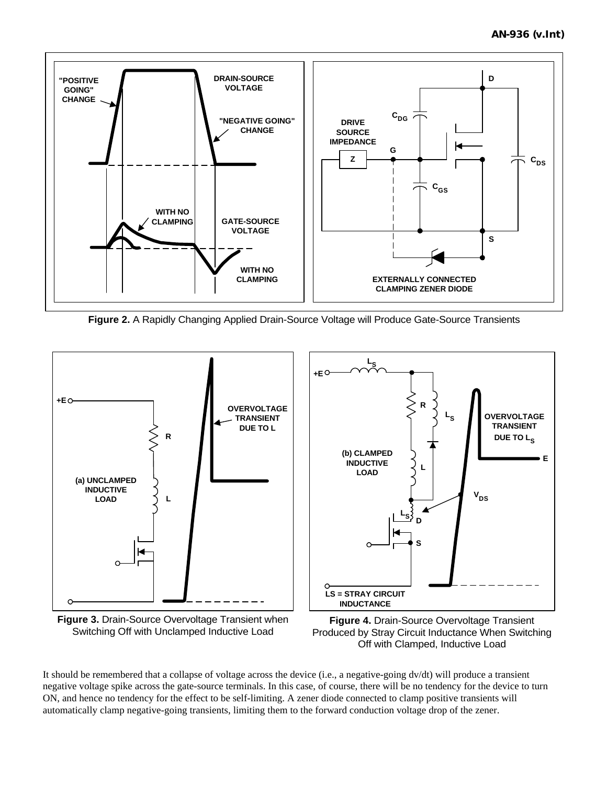

**Figure 2.** A Rapidly Changing Applied Drain-Source Voltage will Produce Gate-Source Transients



**Figure 3.** Drain-Source Overvoltage Transient when Switching Off with Unclamped Inductive Load



**Figure 4.** Drain-Source Overvoltage Transient Produced by Stray Circuit Inductance When Switching Off with Clamped, Inductive Load

It should be remembered that a collapse of voltage across the device (i.e., a negative-going dv/dt) will produce a transient negative voltage spike across the gate-source terminals. In this case, of course, there will be no tendency for the device to turn ON, and hence no tendency for the effect to be self-limiting. A zener diode connected to clamp positive transients will automatically clamp negative-going transients, limiting them to the forward conduction voltage drop of the zener.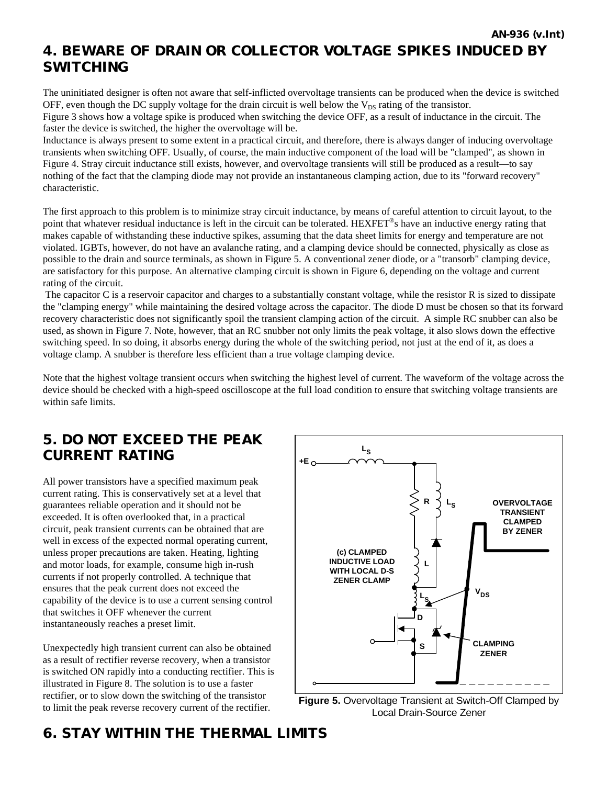#### **AN-936 (v.Int)** *4. BEWARE OF DRAIN OR COLLECTOR VOLTAGE SPIKES INDUCED BY SWITCHING*

The uninitiated designer is often not aware that self-inflicted overvoltage transients can be produced when the device is switched OFF, even though the DC supply voltage for the drain circuit is well below the  $V_{DS}$  rating of the transistor.

Figure 3 shows how a voltage spike is produced when switching the device OFF, as a result of inductance in the circuit. The faster the device is switched, the higher the overvoltage will be.

Inductance is always present to some extent in a practical circuit, and therefore, there is always danger of inducing overvoltage transients when switching OFF. Usually, of course, the main inductive component of the load will be "clamped", as shown in Figure 4. Stray circuit inductance still exists, however, and overvoltage transients will still be produced as a result—to say nothing of the fact that the clamping diode may not provide an instantaneous clamping action, due to its "forward recovery" characteristic.

The first approach to this problem is to minimize stray circuit inductance, by means of careful attention to circuit layout, to the point that whatever residual inductance is left in the circuit can be tolerated. HEXFET<sup>®</sup>s have an inductive energy rating that makes capable of withstanding these inductive spikes, assuming that the data sheet limits for energy and temperature are not violated. IGBTs, however, do not have an avalanche rating, and a clamping device should be connected, physically as close as possible to the drain and source terminals, as shown in Figure 5. A conventional zener diode, or a "transorb" clamping device, are satisfactory for this purpose. An alternative clamping circuit is shown in Figure 6, depending on the voltage and current rating of the circuit.

 The capacitor C is a reservoir capacitor and charges to a substantially constant voltage, while the resistor R is sized to dissipate the "clamping energy" while maintaining the desired voltage across the capacitor. The diode D must be chosen so that its forward recovery characteristic does not significantly spoil the transient clamping action of the circuit. A simple RC snubber can also be used, as shown in Figure 7. Note, however, that an RC snubber not only limits the peak voltage, it also slows down the effective switching speed. In so doing, it absorbs energy during the whole of the switching period, not just at the end of it, as does a voltage clamp. A snubber is therefore less efficient than a true voltage clamping device.

Note that the highest voltage transient occurs when switching the highest level of current. The waveform of the voltage across the device should be checked with a high-speed oscilloscope at the full load condition to ensure that switching voltage transients are within safe limits.

# *5. DO NOT EXCEED THE PEAK CURRENT RATING*

All power transistors have a specified maximum peak current rating. This is conservatively set at a level that guarantees reliable operation and it should not be exceeded. It is often overlooked that, in a practical circuit, peak transient currents can be obtained that are well in excess of the expected normal operating current, unless proper precautions are taken. Heating, lighting and motor loads, for example, consume high in-rush currents if not properly controlled. A technique that ensures that the peak current does not exceed the capability of the device is to use a current sensing control that switches it OFF whenever the current instantaneously reaches a preset limit.

Unexpectedly high transient current can also be obtained as a result of rectifier reverse recovery, when a transistor is switched ON rapidly into a conducting rectifier. This is illustrated in Figure 8. The solution is to use a faster rectifier, or to slow down the switching of the transistor to limit the peak reverse recovery current of the rectifier.



**Figure 5.** Overvoltage Transient at Switch-Off Clamped by Local Drain-Source Zener

# *6. STAY WITHIN THE THERMAL LIMITS*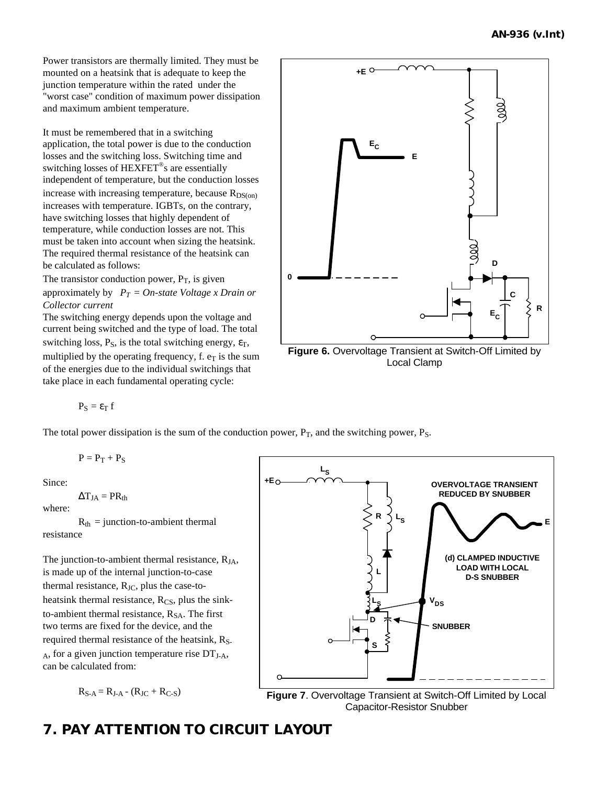Power transistors are thermally limited. They must be mounted on a heatsink that is adequate to keep the junction temperature within the rated under the "worst case" condition of maximum power dissipation and maximum ambient temperature.

It must be remembered that in a switching application, the total power is due to the conduction losses and the switching loss. Switching time and switching losses of HEXFET®s are essentially independent of temperature, but the conduction losses increase with increasing temperature, because  $R_{DS(on)}$ increases with temperature. IGBTs, on the contrary, have switching losses that highly dependent of temperature, while conduction losses are not. This must be taken into account when sizing the heatsink. The required thermal resistance of the heatsink can be calculated as follows:

The transistor conduction power,  $P_T$ , is given

approximately by  $P_T = On-state Voltage x Drain or$ *Collector current*

The switching energy depends upon the voltage and current being switched and the type of load. The total switching loss,  $P_S$ , is the total switching energy,  $\varepsilon_T$ , multiplied by the operating frequency, f.  $e_T$  is the sum of the energies due to the individual switchings that take place in each fundamental operating cycle:



Local Clamp

 $P_S = \varepsilon_T f$ 

The total power dissipation is the sum of the conduction power,  $P_T$ , and the switching power,  $P_S$ .

$$
\mathbf{P}=\mathbf{P}_T+\mathbf{P}_S
$$

Since:

 $\Delta T_{JA} = PR_{th}$ 

where:

 $R<sub>th</sub> = junction-to-ambient thermal$ resistance

The junction-to-ambient thermal resistance,  $R_{JA}$ , is made up of the internal junction-to-case thermal resistance,  $R_{\text{JC}}$ , plus the case-toheatsink thermal resistance,  $R_{CS}$ , plus the sinkto-ambient thermal resistance,  $R_{SA}$ . The first two terms are fixed for the device, and the required thermal resistance of the heatsink,  $R<sub>S</sub>$ .  $_A$ , for a given junction temperature rise  $DT<sub>J-A</sub>$ , can be calculated from:

$$
R_{S-A} = R_{J-A} - (R_{JC} + R_{C-S})
$$



**Figure 7**. Overvoltage Transient at Switch-Off Limited by Local Capacitor-Resistor Snubber

# *7. PAY ATTENTION TO CIRCUIT LAYOUT*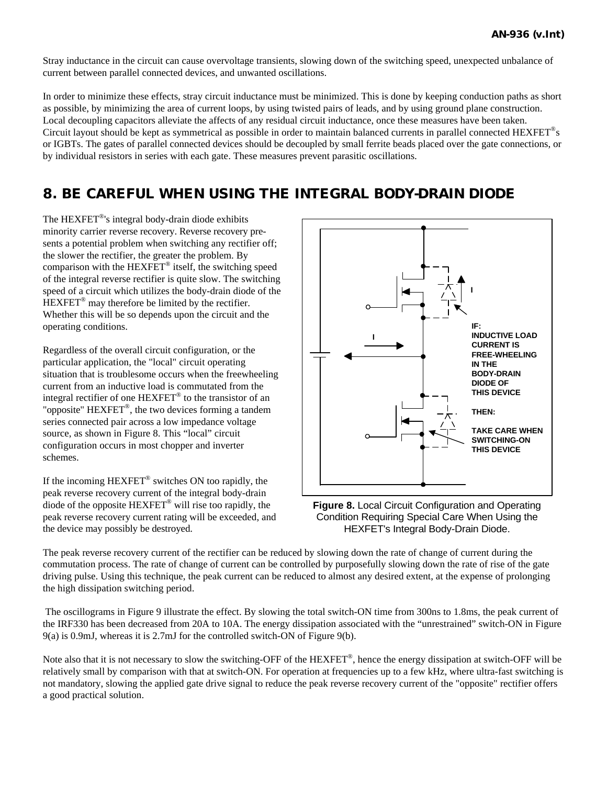Stray inductance in the circuit can cause overvoltage transients, slowing down of the switching speed, unexpected unbalance of current between parallel connected devices, and unwanted oscillations.

In order to minimize these effects, stray circuit inductance must be minimized. This is done by keeping conduction paths as short as possible, by minimizing the area of current loops, by using twisted pairs of leads, and by using ground plane construction. Local decoupling capacitors alleviate the affects of any residual circuit inductance, once these measures have been taken. Circuit layout should be kept as symmetrical as possible in order to maintain balanced currents in parallel connected  $HEXFET<sup>®</sup>s$ or IGBTs. The gates of parallel connected devices should be decoupled by small ferrite beads placed over the gate connections, or by individual resistors in series with each gate. These measures prevent parasitic oscillations.

### *8. BE CAREFUL WHEN USING THE INTEGRAL BODY-DRAIN DIODE*

The HEXFET®'s integral body-drain diode exhibits minority carrier reverse recovery. Reverse recovery presents a potential problem when switching any rectifier off; the slower the rectifier, the greater the problem. By comparison with the HEXFET® itself, the switching speed of the integral reverse rectifier is quite slow. The switching speed of a circuit which utilizes the body-drain diode of the  $HEXFET^{\circledast}$  may therefore be limited by the rectifier. Whether this will be so depends upon the circuit and the operating conditions.

Regardless of the overall circuit configuration, or the particular application, the "local" circuit operating situation that is troublesome occurs when the freewheeling current from an inductive load is commutated from the integral rectifier of one HEXFET® to the transistor of an "opposite" HEXFET®, the two devices forming a tandem series connected pair across a low impedance voltage source, as shown in Figure 8. This "local" circuit configuration occurs in most chopper and inverter schemes.

If the incoming  $HEXFET^{\circledast}$  switches ON too rapidly, the peak reverse recovery current of the integral body-drain diode of the opposite HEXFET® will rise too rapidly, the peak reverse recovery current rating will be exceeded, and the device may possibly be destroyed.



**Figure 8.** Local Circuit Configuration and Operating Condition Requiring Special Care When Using the HEXFET's Integral Body-Drain Diode.

The peak reverse recovery current of the rectifier can be reduced by slowing down the rate of change of current during the commutation process. The rate of change of current can be controlled by purposefully slowing down the rate of rise of the gate driving pulse. Using this technique, the peak current can be reduced to almost any desired extent, at the expense of prolonging the high dissipation switching period.

 The oscillograms in Figure 9 illustrate the effect. By slowing the total switch-ON time from 300ns to 1.8ms, the peak current of the IRF330 has been decreased from 20A to 10A. The energy dissipation associated with the "unrestrained" switch-ON in Figure 9(a) is 0.9mJ, whereas it is 2.7mJ for the controlled switch-ON of Figure 9(b).

Note also that it is not necessary to slow the switching-OFF of the HEXFET®, hence the energy dissipation at switch-OFF will be relatively small by comparison with that at switch-ON. For operation at frequencies up to a few kHz, where ultra-fast switching is not mandatory, slowing the applied gate drive signal to reduce the peak reverse recovery current of the "opposite" rectifier offers a good practical solution.